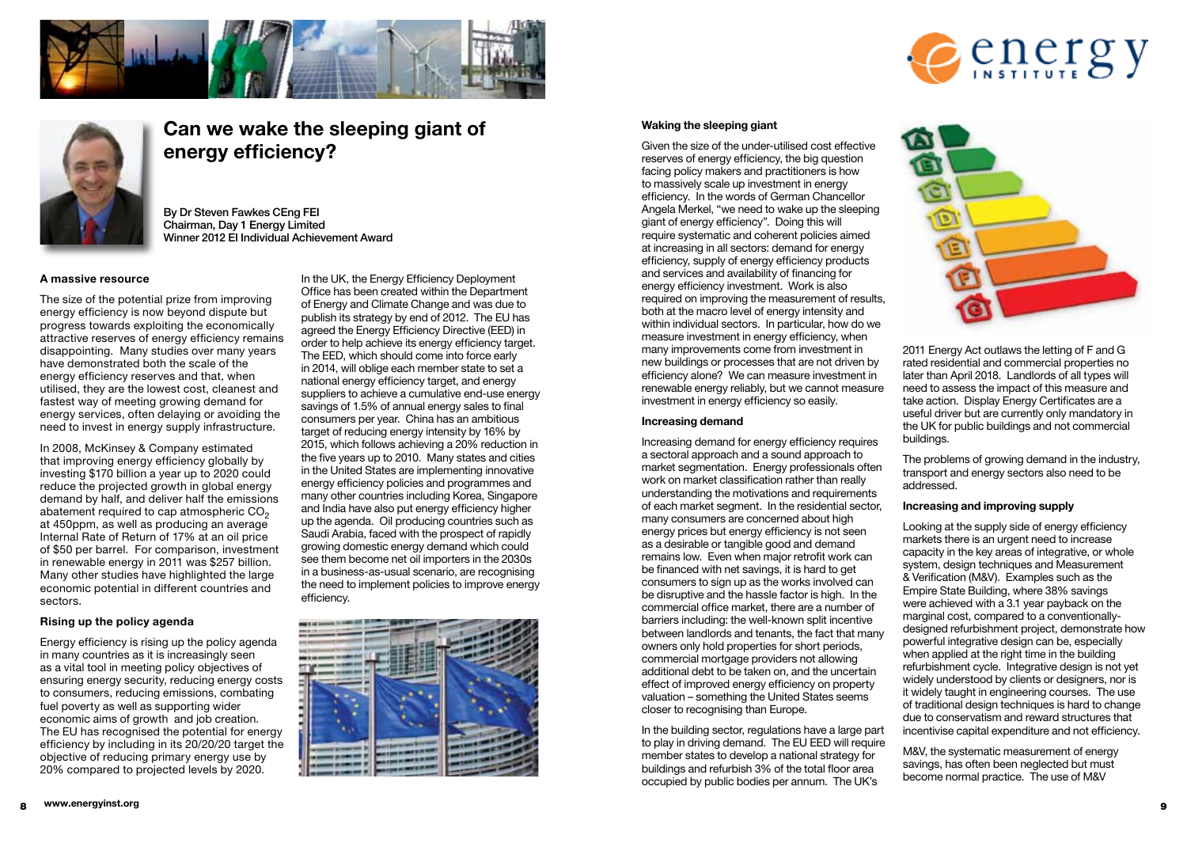





# Can we wake the sleeping giant of energy efficiency?

By Dr Steven Fawkes CEng FEI Chairman, Day 1 Energy Limited Winner 2012 El Individual Achievement Award

#### A massive resource

The size of the potential prize from improving energy efficiency is now beyond dispute but progress towards exploiting the economically attractive reserves of energy efficiency remains disappointing. Many studies over many years have demonstrated both the scale of the energy efficiency reserves and that, when utilised, they are the lowest cost, cleanest and fastest way of meeting growing demand for energy services, often delaying or avoiding the need to invest in energy supply infrastructure.

In 2008, McKinsey & Company estimated that improving energy efficiency globally by investing \$170 billion a year up to 2020 could reduce the projected growth in global energy demand by half, and deliver half the emissions abatement required to cap atmospheric CO<sub>2</sub> at 450ppm, as well as producing an average Internal Rate of Return of 17% at an oil price of \$50 per barrel. For comparison, investment in renewable energy in 2011 was \$257 billion. Many other studies have highlighted the large economic potential in different countries and sectors.

# Rising up the policy agenda

Energy efficiency is rising up the policy agenda in many countries as it is increasingly seen as a vital tool in meeting policy objectives of ensuring energy security, reducing energy costs to consumers, reducing emissions, combating fuel poverty as well as supporting wider economic aims of growth and job creation. The EU has recognised the potential for energy efficiency by including in its 20/20/20 target the objective of reducing primary energy use by 20% compared to projected levels by 2020.

In the UK, the Energy Efficiency Deployment Office has been created within the Department of Energy and Climate Change and was due to publish its strategy by end of 2012. The EU has agreed the Energy Efficiency Directive (EED) in order to help achieve its energy efficiency target. The EED, which should come into force early in 2014, will oblige each member state to set a national energy efficiency target, and energy suppliers to achieve a cumulative end-use energy savings of 1.5% of annual energy sales to final consumers per year. China has an ambitious target of reducing energy intensity by 16% by 2015, which follows achieving a 20% reduction in the five years up to 2010. Many states and cities in the United States are implementing innovative energy efficiency policies and programmes and many other countries including Korea. Singapore and India have also put energy efficiency higher up the agenda. Oil producing countries such as Saudi Arabia, faced with the prospect of rapidly growing domestic energy demand which could see them become net oil importers in the 2030s in a business-as-usual scenario, are recognising the need to implement policies to improve energy efficiency.



#### Waking the sleeping giant

Given the size of the under-utilised cost effective reserves of energy efficiency, the big question facing policy makers and practitioners is how to massively scale up investment in energy efficiency. In the words of German Chancellor Angela Merkel. "we need to wake up the sleeping giant of energy efficiency". Doing this will require systematic and coherent policies aimed at increasing in all sectors: demand for energy efficiency, supply of energy efficiency products and services and availability of financing for energy efficiency investment. Work is also required on improving the measurement of results. both at the macro level of energy intensity and within individual sectors. In particular, how do we measure investment in energy efficiency, when many improvements come from investment in new buildings or processes that are not driven by efficiency alone? We can measure investment in renewable energy reliably, but we cannot measure investment in energy efficiency so easily.

## Increasing demand

Increasing demand for energy efficiency requires a sectoral approach and a sound approach to market segmentation. Energy professionals often work on market classification rather than really understanding the motivations and requirements of each market segment. In the residential sector, many consumers are concerned about high energy prices but energy efficiency is not seen as a desirable or tangible good and demand remains low. Even when major retrofit work can be financed with net savings, it is hard to get consumers to sign up as the works involved can be disruptive and the hassle factor is high. In the commercial office market, there are a number of barriers including: the well-known split incentive between landlords and tenants, the fact that many owners only hold properties for short periods, commercial mortgage providers not allowing additional debt to be taken on, and the uncertain effect of improved energy efficiency on property valuation - something the United States seems closer to recognising than Europe.

In the building sector, regulations have a large part to play in driving demand. The EU EED will require member states to develop a national strategy for buildings and refurbish 3% of the total floor area occupied by public bodies per annum. The UK's



2011 Energy Act outlaws the letting of F and G rated residential and commercial properties no later than April 2018. Landlords of all types will need to assess the impact of this measure and take action. Display Energy Certificates are a useful driver but are currently only mandatory in the UK for public buildings and not commercial buildings.

The problems of growing demand in the industry, transport and energy sectors also need to be addressed.

#### Increasing and improving supply

Looking at the supply side of energy efficiency markets there is an urgent need to increase capacity in the key areas of integrative, or whole system, design techniques and Measurement & Verification (M&V). Examples such as the Empire State Building, where 38% savings were achieved with a 3.1 year payback on the marginal cost, compared to a conventionallydesigned refurbishment project, demonstrate how powerful integrative design can be, especially when applied at the right time in the building refurbishment cycle. Integrative design is not yet widely understood by clients or designers, nor is it widely taught in engineering courses. The use of traditional design techniques is hard to change due to conservatism and reward structures that incentivise capital expenditure and not efficiency.

M&V, the systematic measurement of energy savings, has often been neglected but must become normal practice. The use of M&V